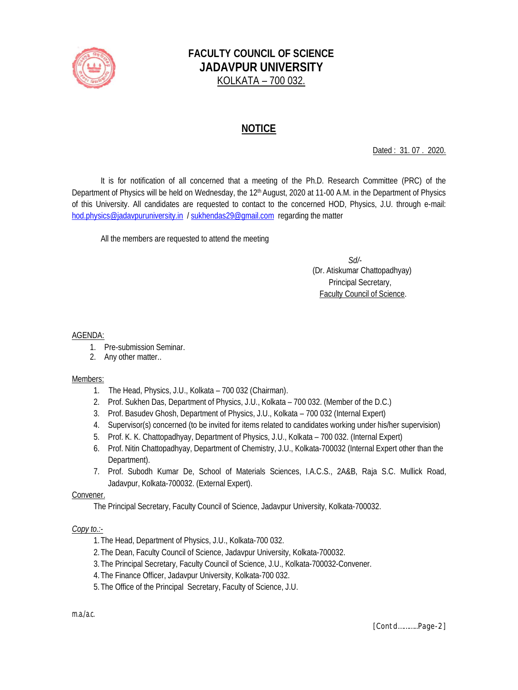

# **FACULTY COUNCIL OF SCIENCE JADAVPUR UNIVERSITY** KOLKATA – 700 032.

# **NOTICE**

Dated : 31. 07 . 2020.

It is for notification of all concerned that a meeting of the Ph.D. Research Committee (PRC) of the Department of Physics will be held on Wednesday, the 12<sup>th</sup> August, 2020 at 11-00 A.M. in the Department of Physics of this University. All candidates are requested to contact to the concerned HOD, Physics, J.U. through e-mail: hod.physics@jadavpuruniversity.in / sukhendas29@gmail.com regarding the matter

All the members are requested to attend the meeting

 *Sd/-* (Dr. Atiskumar Chattopadhyay) Principal Secretary, Faculty Council of Science.

#### AGENDA:

- 1. Pre-submission Seminar.
- 2. Any other matter..

#### Members:

- 1. The Head, Physics, J.U., Kolkata 700 032 (Chairman).
- 2. Prof. Sukhen Das, Department of Physics, J.U., Kolkata 700 032. (Member of the D.C.)
- 3. Prof. Basudev Ghosh, Department of Physics, J.U., Kolkata 700 032 (Internal Expert)
- 4. Supervisor(s) concerned (to be invited for items related to candidates working under his/her supervision)
- 5. Prof. K. K. Chattopadhyay, Department of Physics, J.U., Kolkata 700 032. (Internal Expert)
- 6. Prof. Nitin Chattopadhyay, Department of Chemistry, J.U., Kolkata-700032 (Internal Expert other than the Department).
- 7. Prof. Subodh Kumar De, School of Materials Sciences, I.A.C.S., 2A&B, Raja S.C. Mullick Road, Jadavpur, Kolkata-700032. (External Expert).

#### Convener.

The Principal Secretary, Faculty Council of Science, Jadavpur University, Kolkata-700032.

## *Copy to.:-*

- 1.The Head, Department of Physics, J.U., Kolkata-700 032.
- 2.The Dean, Faculty Council of Science, Jadavpur University, Kolkata-700032.
- 3.The Principal Secretary, Faculty Council of Science, J.U., Kolkata-700032-Convener.
- 4.The Finance Officer, Jadavpur University, Kolkata-700 032.
- 5.The Office of the Principal Secretary, Faculty of Science, J.U.

*m.a./a.c.*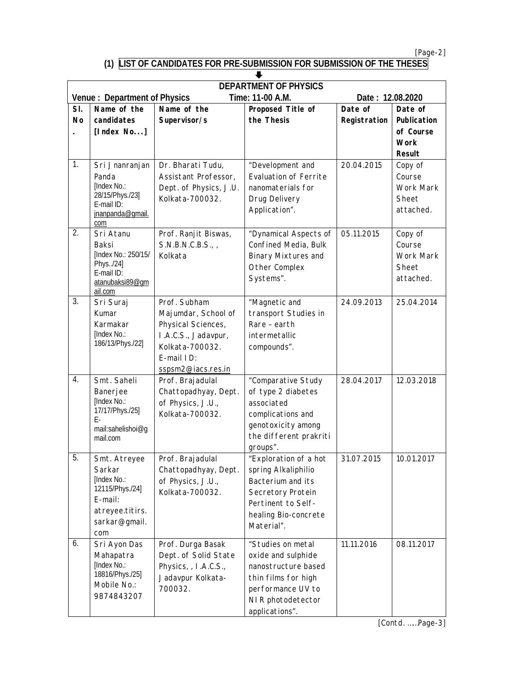*[Page-2]*

## **(1) LIST OF CANDIDATES FOR PRE-SUBMISSION FOR SUBMISSION OF THE THESES**

| <b>DEPARTMENT OF PHYSICS</b><br><b>Venue: Department of Physics</b><br>Time: 11-00 A.M.<br>Date: 12.08.2020 |                                                                                                                |                                                                                                                                         |                                                                                                                                                    |                    |                                                             |  |  |
|-------------------------------------------------------------------------------------------------------------|----------------------------------------------------------------------------------------------------------------|-----------------------------------------------------------------------------------------------------------------------------------------|----------------------------------------------------------------------------------------------------------------------------------------------------|--------------------|-------------------------------------------------------------|--|--|
| SI.<br>Name of the                                                                                          |                                                                                                                | Proposed Title of<br>Name of the                                                                                                        |                                                                                                                                                    | Date of<br>Date of |                                                             |  |  |
| <b>No</b>                                                                                                   | candidates<br>[Index No]                                                                                       | Supervisor/s                                                                                                                            | the Thesis                                                                                                                                         | Registration       | Publication<br>of Course<br><b>Work</b><br>Result           |  |  |
| 1.                                                                                                          | Sri Jnanranjan<br>Panda<br>[Index No.:<br>28/15/Phys./23]<br>E-mail ID:<br>jnanpanda@qmail.<br>com             | Dr. Bharati Tudu,<br>Assistant Professor,<br>Dept. of Physics, J.U.<br>Kolkata-700032.                                                  | "Development and<br><b>Evaluation of Ferrite</b><br>nanomaterials for<br>Drug Delivery<br>Application".                                            | 20.04.2015         | Copy of<br>Course<br><b>Work Mark</b><br>Sheet<br>attached. |  |  |
| 2.                                                                                                          | Sri Atanu<br>Baksi<br>[Index No.: 250/15/<br>Phys/24]<br>E-mail ID:<br>atanubaksi89@gm<br>ail.com              | Prof. Ranjit Biswas,<br>S.N.B.N.C.B.S.,<br>Kolkata                                                                                      | "Dynamical Aspects of<br>Confined Media, Bulk<br><b>Binary Mixtures and</b><br>Other Complex<br>Systems".                                          | 05.11.2015         | Copy of<br>Course<br>Work Mark<br>Sheet<br>attached.        |  |  |
| 3.                                                                                                          | Sri Suraj<br>Kumar<br>Karmakar<br>[Index No.:<br>186/13/Phys./22]                                              | Prof. Subham<br>Majumdar, School of<br>Physical Sciences,<br>I.A.C.S., Jadavpur,<br>Kolkata-700032.<br>E-mail ID:<br>sspsm2@iacs.res.in | "Magnetic and<br>transport Studies in<br>Rare - earth<br>intermetallic<br>compounds".                                                              | 24.09.2013         | 25.04.2014                                                  |  |  |
| 4.                                                                                                          | Smt. Saheli<br>Banerjee<br>[Index No.:<br>17/17/Phys./25]<br>E-<br>mail:sahelishoi@g<br>mail.com               | Prof. Brajadulal<br>Chattopadhyay, Dept.<br>of Physics, J.U.,<br>Kolkata-700032.                                                        | "Comparative Study<br>of type 2 diabetes<br>associated<br>complications and<br>genotoxicity among<br>the different prakriti<br>groups".            | 28.04.2017         | 12.03.2018                                                  |  |  |
| 5.                                                                                                          | Smt. Atreyee<br>Sarkar<br>[Index No.:<br>12115/Phys./24]<br>E-mail:<br>atreyee.titirs.<br>sarkar@gmail.<br>com | Prof. Brajadulal<br>Chattopadhyay, Dept.<br>of Physics, J.U.,<br>Kolkata-700032.                                                        | "Exploration of a hot<br>spring Alkaliphilio<br>Bacterium and its<br>Secretory Protein<br>Pertinent to Self-<br>healing Bio-concrete<br>Material". | 31.07.2015         | 10.01.2017                                                  |  |  |
| 6.                                                                                                          | Sri Ayon Das<br>Mahapatra<br>[Index No.:<br>18816/Phys./25]<br>Mobile No.:<br>9874843207                       | Prof. Durga Basak<br>Dept. of Solid State<br>Physics, , I.A.C.S.,<br>Jadavpur Kolkata-<br>700032.                                       | "Studies on metal<br>oxide and sulphide<br>nanostructure based<br>thin films for high<br>performance UV to<br>NIR photodetector<br>applications".  | 11.11.2016         | 08.11.2017                                                  |  |  |

*[Contd. ……Page-3]*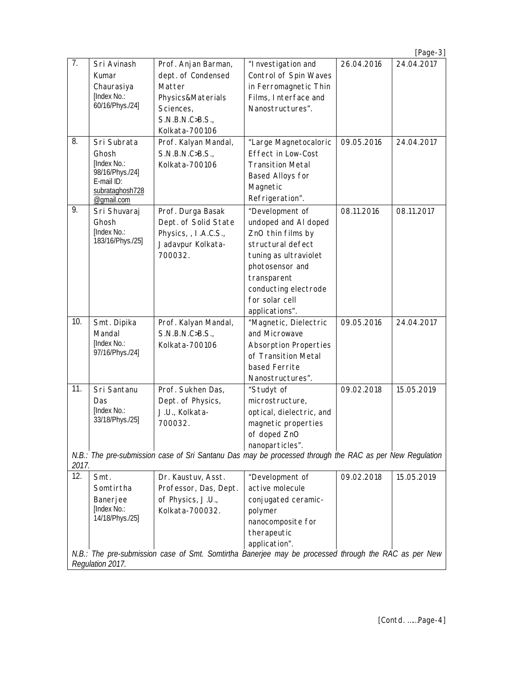|                                                                                                                          |                               |                       |                                                                                                         |            | $[Page-3]$ |  |  |
|--------------------------------------------------------------------------------------------------------------------------|-------------------------------|-----------------------|---------------------------------------------------------------------------------------------------------|------------|------------|--|--|
| 7.                                                                                                                       | Sri Avinash                   | Prof. Anjan Barman,   | "I nvestigation and                                                                                     | 26.04.2016 | 24.04.2017 |  |  |
|                                                                                                                          | Kumar                         | dept. of Condensed    | Control of Spin Waves                                                                                   |            |            |  |  |
|                                                                                                                          | Chaurasiya                    | Matter                | in Ferromagnetic Thin                                                                                   |            |            |  |  |
|                                                                                                                          | [Index No.:                   | Physics&Materials     | Films, Interface and                                                                                    |            |            |  |  |
|                                                                                                                          | 60/16/Phys./24]               | Sciences,             | Nanostructures".                                                                                        |            |            |  |  |
|                                                                                                                          |                               | S.N.B.N.C>B.S.,       |                                                                                                         |            |            |  |  |
|                                                                                                                          |                               | Kolkata-700106        |                                                                                                         |            |            |  |  |
| 8.                                                                                                                       | Sri Subrata                   | Prof. Kalyan Mandal,  | "Large Magnetocaloric                                                                                   | 09.05.2016 | 24.04.2017 |  |  |
|                                                                                                                          | Ghosh                         | S.N.B.N.C>B.S.,       | Effect in Low-Cost                                                                                      |            |            |  |  |
|                                                                                                                          | [Index No.:                   | Kolkata-700106        | <b>Transition Metal</b>                                                                                 |            |            |  |  |
|                                                                                                                          | 98/16/Phys./24]<br>E-mail ID: |                       | Based Alloys for                                                                                        |            |            |  |  |
|                                                                                                                          | subrataghosh728               |                       | Magnetic                                                                                                |            |            |  |  |
|                                                                                                                          | @gmail.com                    |                       | Refrigeration".                                                                                         |            |            |  |  |
| 9.                                                                                                                       | Sri Shuvaraj                  | Prof. Durga Basak     | "Development of                                                                                         | 08.11.2016 | 08.11.2017 |  |  |
|                                                                                                                          | Ghosh                         | Dept. of Solid State  | undoped and AI doped                                                                                    |            |            |  |  |
|                                                                                                                          | [Index No.:                   | Physics, , I.A.C.S.,  | ZnO thin films by                                                                                       |            |            |  |  |
|                                                                                                                          | 183/16/Phys./25]              | Jadavpur Kolkata-     | structural defect                                                                                       |            |            |  |  |
|                                                                                                                          |                               | 700032.               | tuning as ultraviolet                                                                                   |            |            |  |  |
|                                                                                                                          |                               |                       | photosensor and                                                                                         |            |            |  |  |
|                                                                                                                          |                               |                       | transparent                                                                                             |            |            |  |  |
|                                                                                                                          |                               |                       | conducting electrode                                                                                    |            |            |  |  |
|                                                                                                                          |                               |                       | for solar cell                                                                                          |            |            |  |  |
|                                                                                                                          |                               |                       | applications".                                                                                          |            |            |  |  |
| 10.                                                                                                                      | Smt. Dipika                   | Prof. Kalyan Mandal,  | "Magnetic, Dielectric                                                                                   | 09.05.2016 | 24.04.2017 |  |  |
|                                                                                                                          | Mandal                        | S.N.B.N.C>B.S.,       | and Microwave                                                                                           |            |            |  |  |
|                                                                                                                          | [Index No.:                   | Kolkata-700106        | <b>Absorption Properties</b>                                                                            |            |            |  |  |
|                                                                                                                          | 97/16/Phys./24]               |                       | of Transition Metal                                                                                     |            |            |  |  |
|                                                                                                                          |                               |                       | based Ferrite                                                                                           |            |            |  |  |
|                                                                                                                          |                               |                       | Nanostructures".                                                                                        |            |            |  |  |
| 11.                                                                                                                      | Sri Santanu                   | Prof. Sukhen Das,     | "Studyt of                                                                                              | 09.02.2018 | 15.05.2019 |  |  |
|                                                                                                                          | Das                           | Dept. of Physics,     | microstructure,                                                                                         |            |            |  |  |
|                                                                                                                          | [Index No.:                   | J.U., Kolkata-        | optical, dielectric, and                                                                                |            |            |  |  |
|                                                                                                                          | 33/18/Phys./25]               | 700032.               | magnetic properties                                                                                     |            |            |  |  |
|                                                                                                                          |                               |                       | of doped ZnO                                                                                            |            |            |  |  |
|                                                                                                                          |                               |                       | nanoparticles".                                                                                         |            |            |  |  |
|                                                                                                                          |                               |                       | N.B.: The pre-submission case of Sri Santanu Das may be processed through the RAC as per New Regulation |            |            |  |  |
| 2017.<br>12.                                                                                                             |                               |                       |                                                                                                         |            |            |  |  |
|                                                                                                                          | Smt.                          | Dr. Kaustuv, Asst.    | "Development of<br>active molecule                                                                      | 09.02.2018 | 15.05.2019 |  |  |
|                                                                                                                          | Somtirtha                     | Professor, Das, Dept. |                                                                                                         |            |            |  |  |
|                                                                                                                          | Banerjee<br>[Index No.:       | of Physics, J.U.,     | conjugated ceramic-                                                                                     |            |            |  |  |
|                                                                                                                          | 14/18/Phys./25]               | Kolkata-700032.       | polymer                                                                                                 |            |            |  |  |
|                                                                                                                          |                               |                       | nanocomposite for                                                                                       |            |            |  |  |
|                                                                                                                          |                               |                       | therapeutic                                                                                             |            |            |  |  |
|                                                                                                                          |                               |                       | application".                                                                                           |            |            |  |  |
| N.B.: The pre-submission case of Smt. Somtirtha Banerjee may be processed through the RAC as per New<br>Regulation 2017. |                               |                       |                                                                                                         |            |            |  |  |
|                                                                                                                          |                               |                       |                                                                                                         |            |            |  |  |